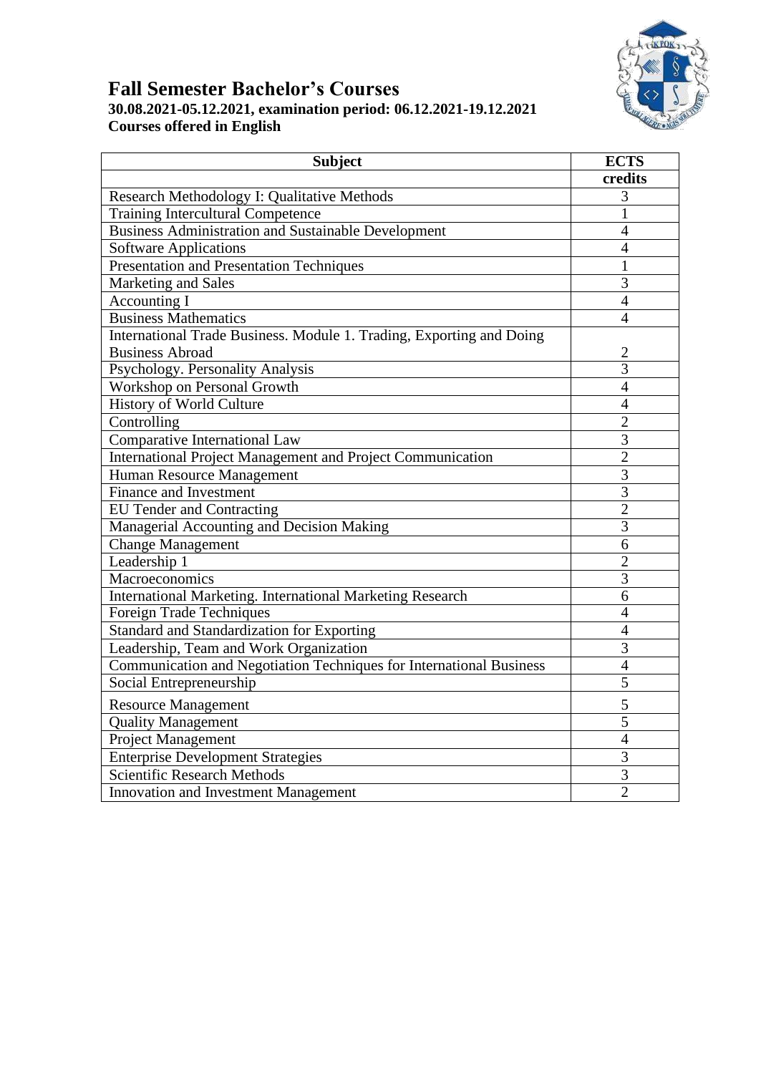### **Fall Semester Bachelor's Courses 30.08.2021-05.12.2021, examination period: 06.12.2021-19.12.2021 Courses offered in English**

| <b>Subject</b>                                                       | <b>ECTS</b>    |
|----------------------------------------------------------------------|----------------|
|                                                                      | credits        |
| Research Methodology I: Qualitative Methods                          | 3              |
| <b>Training Intercultural Competence</b>                             | $\mathbf{1}$   |
| <b>Business Administration and Sustainable Development</b>           | $\overline{4}$ |
| <b>Software Applications</b>                                         | $\overline{4}$ |
| <b>Presentation and Presentation Techniques</b>                      | 1              |
| Marketing and Sales                                                  | 3              |
| Accounting I                                                         | $\overline{4}$ |
| <b>Business Mathematics</b>                                          | $\overline{4}$ |
| International Trade Business. Module 1. Trading, Exporting and Doing |                |
| <b>Business Abroad</b>                                               | $\overline{2}$ |
| Psychology. Personality Analysis                                     | $\overline{3}$ |
| Workshop on Personal Growth                                          | $\overline{4}$ |
| History of World Culture                                             | $\overline{4}$ |
| Controlling                                                          | $\overline{2}$ |
| Comparative International Law                                        | 3              |
| International Project Management and Project Communication           | $\overline{2}$ |
| Human Resource Management                                            | $\mathfrak{Z}$ |
| Finance and Investment                                               | 3              |
| <b>EU Tender and Contracting</b>                                     | $\overline{2}$ |
| Managerial Accounting and Decision Making                            | 3              |
| <b>Change Management</b>                                             | 6              |
| Leadership 1                                                         | $\overline{2}$ |
| Macroeconomics                                                       | $\overline{3}$ |
| <b>International Marketing. International Marketing Research</b>     | $\overline{6}$ |
| Foreign Trade Techniques                                             | $\overline{4}$ |
| Standard and Standardization for Exporting                           | $\overline{4}$ |
| Leadership, Team and Work Organization                               | $\overline{3}$ |
| Communication and Negotiation Techniques for International Business  | $\overline{4}$ |
| Social Entrepreneurship                                              | $\overline{5}$ |
| <b>Resource Management</b>                                           | 5              |
| <b>Quality Management</b>                                            | 5              |
| Project Management                                                   | $\overline{4}$ |
| <b>Enterprise Development Strategies</b>                             | $\overline{3}$ |
| Scientific Research Methods                                          | 3              |
| <b>Innovation and Investment Management</b>                          | $\overline{2}$ |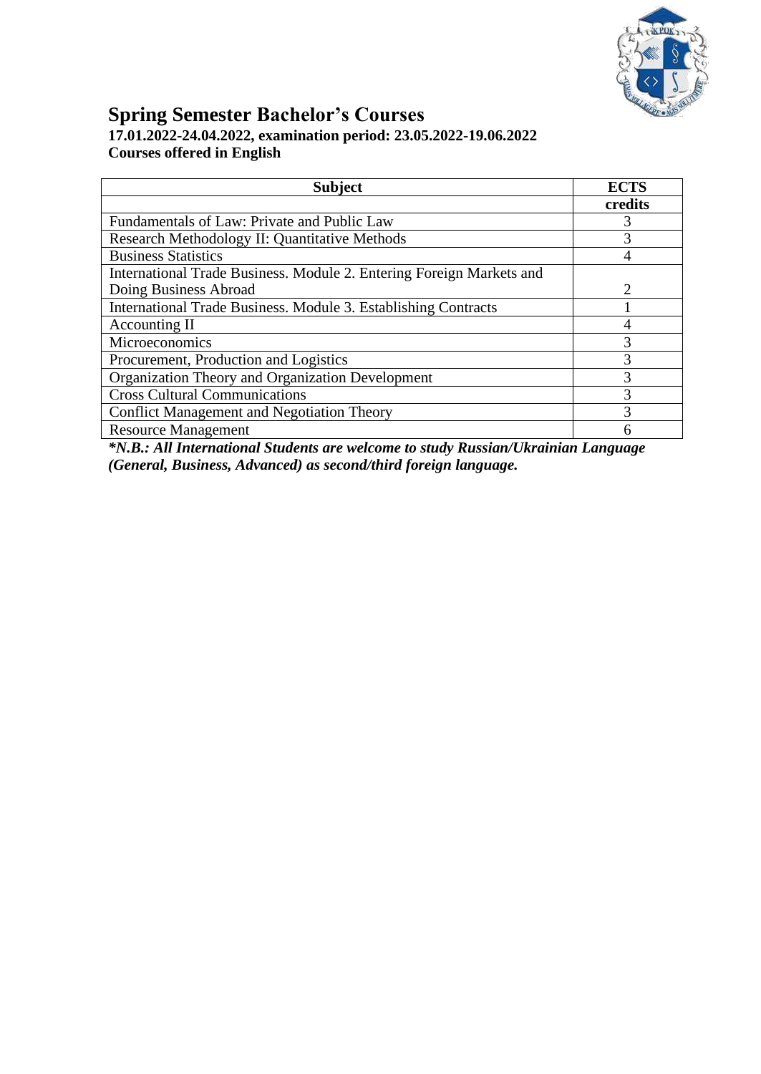

### **Spring Semester Bachelor's Courses 17.01.2022-24.04.2022, examination period: 23.05.2022-19.06.2022 Courses offered in English**

| <b>Subject</b>                                                       | <b>ECTS</b>                 |
|----------------------------------------------------------------------|-----------------------------|
|                                                                      | credits                     |
| Fundamentals of Law: Private and Public Law                          | 3                           |
| Research Methodology II: Quantitative Methods                        |                             |
| <b>Business Statistics</b>                                           |                             |
| International Trade Business. Module 2. Entering Foreign Markets and |                             |
| Doing Business Abroad                                                | $\mathcal{D}_{\mathcal{L}}$ |
| International Trade Business. Module 3. Establishing Contracts       |                             |
| Accounting II                                                        |                             |
| Microeconomics                                                       | 3                           |
| Procurement, Production and Logistics                                | 3                           |
| <b>Organization Theory and Organization Development</b>              | 3                           |
| <b>Cross Cultural Communications</b>                                 | 3                           |
| <b>Conflict Management and Negotiation Theory</b>                    | 3                           |
| <b>Resource Management</b>                                           |                             |

*\*N.B.: All International Students are welcome to study Russian/Ukrainian Language (General, Business, Advanced) as second/third foreign language.*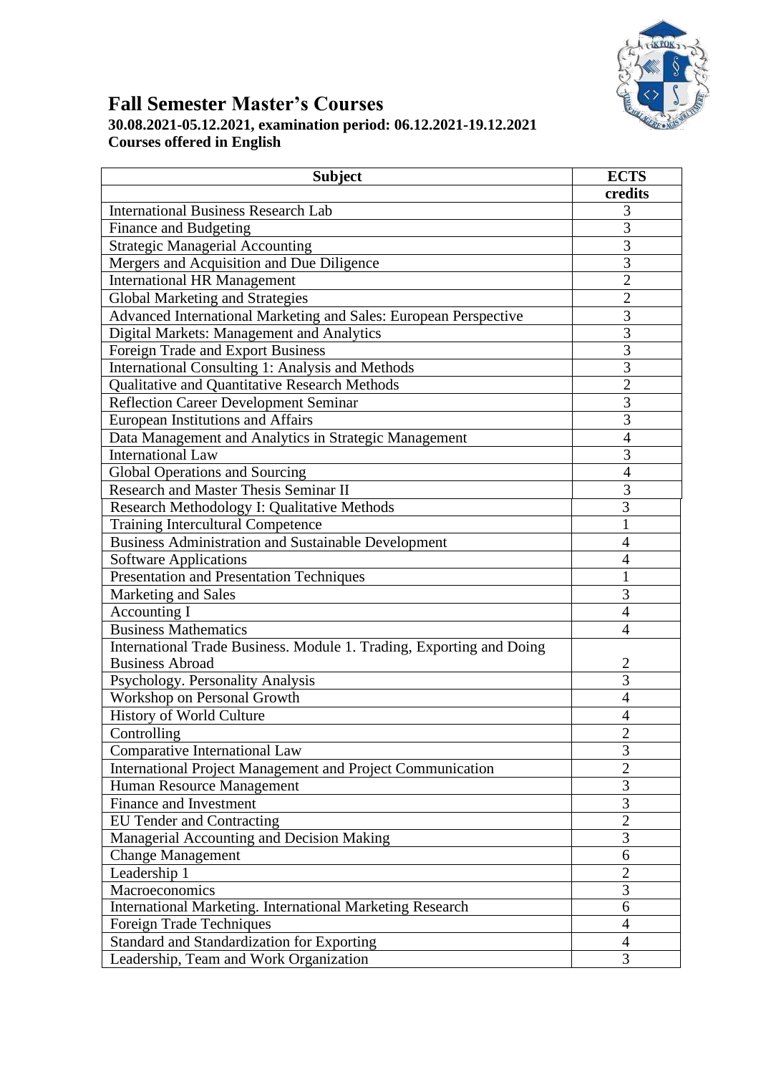

## **Fall Semester Master's Courses 30.08.2021-05.12.2021, examination period: 06.12.2021-19.12.2021 Courses offered in English**

| credits<br><b>International Business Research Lab</b><br>3<br>$\overline{3}$<br>Finance and Budgeting<br>3<br><b>Strategic Managerial Accounting</b><br>3<br>Mergers and Acquisition and Due Diligence<br>$\overline{2}$<br><b>International HR Management</b><br>$\overline{2}$<br><b>Global Marketing and Strategies</b><br>$\overline{3}$<br>Advanced International Marketing and Sales: European Perspective<br>3<br>Digital Markets: Management and Analytics<br>$\overline{3}$<br>Foreign Trade and Export Business<br>$\overline{3}$<br>International Consulting 1: Analysis and Methods<br>$\overline{2}$<br>Qualitative and Quantitative Research Methods<br>3<br><b>Reflection Career Development Seminar</b><br>3<br><b>European Institutions and Affairs</b><br>Data Management and Analytics in Strategic Management<br>4<br>3<br><b>International Law</b><br><b>Global Operations and Sourcing</b><br>4<br>3<br><b>Research and Master Thesis Seminar II</b><br>3<br>Research Methodology I: Qualitative Methods<br>Training Intercultural Competence<br>1<br><b>Business Administration and Sustainable Development</b><br>$\overline{4}$<br><b>Software Applications</b><br>4<br><b>Presentation and Presentation Techniques</b><br>1<br>3<br>Marketing and Sales<br>Accounting I<br>$\overline{4}$<br><b>Business Mathematics</b><br>$\overline{4}$<br>International Trade Business. Module 1. Trading, Exporting and Doing<br><b>Business Abroad</b><br>$\overline{c}$<br>3<br>Psychology. Personality Analysis<br>Workshop on Personal Growth<br>4<br>History of World Culture<br>4<br>$\mathcal{D}$<br>Controlling<br>Comparative International Law<br>3<br>$\overline{2}$<br><b>International Project Management and Project Communication</b><br>3<br>Human Resource Management<br>3<br>Finance and Investment<br>$\overline{2}$<br><b>EU Tender and Contracting</b><br>3<br>Managerial Accounting and Decision Making<br><b>Change Management</b><br>6<br>Leadership 1<br>2<br>3<br>Macroeconomics<br><b>International Marketing. International Marketing Research</b><br>6<br>$\overline{4}$<br>Foreign Trade Techniques | <b>Subject</b> | <b>ECTS</b> |
|--------------------------------------------------------------------------------------------------------------------------------------------------------------------------------------------------------------------------------------------------------------------------------------------------------------------------------------------------------------------------------------------------------------------------------------------------------------------------------------------------------------------------------------------------------------------------------------------------------------------------------------------------------------------------------------------------------------------------------------------------------------------------------------------------------------------------------------------------------------------------------------------------------------------------------------------------------------------------------------------------------------------------------------------------------------------------------------------------------------------------------------------------------------------------------------------------------------------------------------------------------------------------------------------------------------------------------------------------------------------------------------------------------------------------------------------------------------------------------------------------------------------------------------------------------------------------------------------------------------------------------------------------------------------------------------------------------------------------------------------------------------------------------------------------------------------------------------------------------------------------------------------------------------------------------------------------------------------------------------------------------------------------------------------------------------------------------------------------------------------------------------------------|----------------|-------------|
|                                                                                                                                                                                                                                                                                                                                                                                                                                                                                                                                                                                                                                                                                                                                                                                                                                                                                                                                                                                                                                                                                                                                                                                                                                                                                                                                                                                                                                                                                                                                                                                                                                                                                                                                                                                                                                                                                                                                                                                                                                                                                                                                                  |                |             |
|                                                                                                                                                                                                                                                                                                                                                                                                                                                                                                                                                                                                                                                                                                                                                                                                                                                                                                                                                                                                                                                                                                                                                                                                                                                                                                                                                                                                                                                                                                                                                                                                                                                                                                                                                                                                                                                                                                                                                                                                                                                                                                                                                  |                |             |
|                                                                                                                                                                                                                                                                                                                                                                                                                                                                                                                                                                                                                                                                                                                                                                                                                                                                                                                                                                                                                                                                                                                                                                                                                                                                                                                                                                                                                                                                                                                                                                                                                                                                                                                                                                                                                                                                                                                                                                                                                                                                                                                                                  |                |             |
|                                                                                                                                                                                                                                                                                                                                                                                                                                                                                                                                                                                                                                                                                                                                                                                                                                                                                                                                                                                                                                                                                                                                                                                                                                                                                                                                                                                                                                                                                                                                                                                                                                                                                                                                                                                                                                                                                                                                                                                                                                                                                                                                                  |                |             |
|                                                                                                                                                                                                                                                                                                                                                                                                                                                                                                                                                                                                                                                                                                                                                                                                                                                                                                                                                                                                                                                                                                                                                                                                                                                                                                                                                                                                                                                                                                                                                                                                                                                                                                                                                                                                                                                                                                                                                                                                                                                                                                                                                  |                |             |
|                                                                                                                                                                                                                                                                                                                                                                                                                                                                                                                                                                                                                                                                                                                                                                                                                                                                                                                                                                                                                                                                                                                                                                                                                                                                                                                                                                                                                                                                                                                                                                                                                                                                                                                                                                                                                                                                                                                                                                                                                                                                                                                                                  |                |             |
|                                                                                                                                                                                                                                                                                                                                                                                                                                                                                                                                                                                                                                                                                                                                                                                                                                                                                                                                                                                                                                                                                                                                                                                                                                                                                                                                                                                                                                                                                                                                                                                                                                                                                                                                                                                                                                                                                                                                                                                                                                                                                                                                                  |                |             |
|                                                                                                                                                                                                                                                                                                                                                                                                                                                                                                                                                                                                                                                                                                                                                                                                                                                                                                                                                                                                                                                                                                                                                                                                                                                                                                                                                                                                                                                                                                                                                                                                                                                                                                                                                                                                                                                                                                                                                                                                                                                                                                                                                  |                |             |
|                                                                                                                                                                                                                                                                                                                                                                                                                                                                                                                                                                                                                                                                                                                                                                                                                                                                                                                                                                                                                                                                                                                                                                                                                                                                                                                                                                                                                                                                                                                                                                                                                                                                                                                                                                                                                                                                                                                                                                                                                                                                                                                                                  |                |             |
|                                                                                                                                                                                                                                                                                                                                                                                                                                                                                                                                                                                                                                                                                                                                                                                                                                                                                                                                                                                                                                                                                                                                                                                                                                                                                                                                                                                                                                                                                                                                                                                                                                                                                                                                                                                                                                                                                                                                                                                                                                                                                                                                                  |                |             |
|                                                                                                                                                                                                                                                                                                                                                                                                                                                                                                                                                                                                                                                                                                                                                                                                                                                                                                                                                                                                                                                                                                                                                                                                                                                                                                                                                                                                                                                                                                                                                                                                                                                                                                                                                                                                                                                                                                                                                                                                                                                                                                                                                  |                |             |
|                                                                                                                                                                                                                                                                                                                                                                                                                                                                                                                                                                                                                                                                                                                                                                                                                                                                                                                                                                                                                                                                                                                                                                                                                                                                                                                                                                                                                                                                                                                                                                                                                                                                                                                                                                                                                                                                                                                                                                                                                                                                                                                                                  |                |             |
|                                                                                                                                                                                                                                                                                                                                                                                                                                                                                                                                                                                                                                                                                                                                                                                                                                                                                                                                                                                                                                                                                                                                                                                                                                                                                                                                                                                                                                                                                                                                                                                                                                                                                                                                                                                                                                                                                                                                                                                                                                                                                                                                                  |                |             |
|                                                                                                                                                                                                                                                                                                                                                                                                                                                                                                                                                                                                                                                                                                                                                                                                                                                                                                                                                                                                                                                                                                                                                                                                                                                                                                                                                                                                                                                                                                                                                                                                                                                                                                                                                                                                                                                                                                                                                                                                                                                                                                                                                  |                |             |
|                                                                                                                                                                                                                                                                                                                                                                                                                                                                                                                                                                                                                                                                                                                                                                                                                                                                                                                                                                                                                                                                                                                                                                                                                                                                                                                                                                                                                                                                                                                                                                                                                                                                                                                                                                                                                                                                                                                                                                                                                                                                                                                                                  |                |             |
|                                                                                                                                                                                                                                                                                                                                                                                                                                                                                                                                                                                                                                                                                                                                                                                                                                                                                                                                                                                                                                                                                                                                                                                                                                                                                                                                                                                                                                                                                                                                                                                                                                                                                                                                                                                                                                                                                                                                                                                                                                                                                                                                                  |                |             |
|                                                                                                                                                                                                                                                                                                                                                                                                                                                                                                                                                                                                                                                                                                                                                                                                                                                                                                                                                                                                                                                                                                                                                                                                                                                                                                                                                                                                                                                                                                                                                                                                                                                                                                                                                                                                                                                                                                                                                                                                                                                                                                                                                  |                |             |
|                                                                                                                                                                                                                                                                                                                                                                                                                                                                                                                                                                                                                                                                                                                                                                                                                                                                                                                                                                                                                                                                                                                                                                                                                                                                                                                                                                                                                                                                                                                                                                                                                                                                                                                                                                                                                                                                                                                                                                                                                                                                                                                                                  |                |             |
|                                                                                                                                                                                                                                                                                                                                                                                                                                                                                                                                                                                                                                                                                                                                                                                                                                                                                                                                                                                                                                                                                                                                                                                                                                                                                                                                                                                                                                                                                                                                                                                                                                                                                                                                                                                                                                                                                                                                                                                                                                                                                                                                                  |                |             |
|                                                                                                                                                                                                                                                                                                                                                                                                                                                                                                                                                                                                                                                                                                                                                                                                                                                                                                                                                                                                                                                                                                                                                                                                                                                                                                                                                                                                                                                                                                                                                                                                                                                                                                                                                                                                                                                                                                                                                                                                                                                                                                                                                  |                |             |
|                                                                                                                                                                                                                                                                                                                                                                                                                                                                                                                                                                                                                                                                                                                                                                                                                                                                                                                                                                                                                                                                                                                                                                                                                                                                                                                                                                                                                                                                                                                                                                                                                                                                                                                                                                                                                                                                                                                                                                                                                                                                                                                                                  |                |             |
|                                                                                                                                                                                                                                                                                                                                                                                                                                                                                                                                                                                                                                                                                                                                                                                                                                                                                                                                                                                                                                                                                                                                                                                                                                                                                                                                                                                                                                                                                                                                                                                                                                                                                                                                                                                                                                                                                                                                                                                                                                                                                                                                                  |                |             |
|                                                                                                                                                                                                                                                                                                                                                                                                                                                                                                                                                                                                                                                                                                                                                                                                                                                                                                                                                                                                                                                                                                                                                                                                                                                                                                                                                                                                                                                                                                                                                                                                                                                                                                                                                                                                                                                                                                                                                                                                                                                                                                                                                  |                |             |
|                                                                                                                                                                                                                                                                                                                                                                                                                                                                                                                                                                                                                                                                                                                                                                                                                                                                                                                                                                                                                                                                                                                                                                                                                                                                                                                                                                                                                                                                                                                                                                                                                                                                                                                                                                                                                                                                                                                                                                                                                                                                                                                                                  |                |             |
|                                                                                                                                                                                                                                                                                                                                                                                                                                                                                                                                                                                                                                                                                                                                                                                                                                                                                                                                                                                                                                                                                                                                                                                                                                                                                                                                                                                                                                                                                                                                                                                                                                                                                                                                                                                                                                                                                                                                                                                                                                                                                                                                                  |                |             |
|                                                                                                                                                                                                                                                                                                                                                                                                                                                                                                                                                                                                                                                                                                                                                                                                                                                                                                                                                                                                                                                                                                                                                                                                                                                                                                                                                                                                                                                                                                                                                                                                                                                                                                                                                                                                                                                                                                                                                                                                                                                                                                                                                  |                |             |
|                                                                                                                                                                                                                                                                                                                                                                                                                                                                                                                                                                                                                                                                                                                                                                                                                                                                                                                                                                                                                                                                                                                                                                                                                                                                                                                                                                                                                                                                                                                                                                                                                                                                                                                                                                                                                                                                                                                                                                                                                                                                                                                                                  |                |             |
|                                                                                                                                                                                                                                                                                                                                                                                                                                                                                                                                                                                                                                                                                                                                                                                                                                                                                                                                                                                                                                                                                                                                                                                                                                                                                                                                                                                                                                                                                                                                                                                                                                                                                                                                                                                                                                                                                                                                                                                                                                                                                                                                                  |                |             |
|                                                                                                                                                                                                                                                                                                                                                                                                                                                                                                                                                                                                                                                                                                                                                                                                                                                                                                                                                                                                                                                                                                                                                                                                                                                                                                                                                                                                                                                                                                                                                                                                                                                                                                                                                                                                                                                                                                                                                                                                                                                                                                                                                  |                |             |
|                                                                                                                                                                                                                                                                                                                                                                                                                                                                                                                                                                                                                                                                                                                                                                                                                                                                                                                                                                                                                                                                                                                                                                                                                                                                                                                                                                                                                                                                                                                                                                                                                                                                                                                                                                                                                                                                                                                                                                                                                                                                                                                                                  |                |             |
|                                                                                                                                                                                                                                                                                                                                                                                                                                                                                                                                                                                                                                                                                                                                                                                                                                                                                                                                                                                                                                                                                                                                                                                                                                                                                                                                                                                                                                                                                                                                                                                                                                                                                                                                                                                                                                                                                                                                                                                                                                                                                                                                                  |                |             |
|                                                                                                                                                                                                                                                                                                                                                                                                                                                                                                                                                                                                                                                                                                                                                                                                                                                                                                                                                                                                                                                                                                                                                                                                                                                                                                                                                                                                                                                                                                                                                                                                                                                                                                                                                                                                                                                                                                                                                                                                                                                                                                                                                  |                |             |
|                                                                                                                                                                                                                                                                                                                                                                                                                                                                                                                                                                                                                                                                                                                                                                                                                                                                                                                                                                                                                                                                                                                                                                                                                                                                                                                                                                                                                                                                                                                                                                                                                                                                                                                                                                                                                                                                                                                                                                                                                                                                                                                                                  |                |             |
|                                                                                                                                                                                                                                                                                                                                                                                                                                                                                                                                                                                                                                                                                                                                                                                                                                                                                                                                                                                                                                                                                                                                                                                                                                                                                                                                                                                                                                                                                                                                                                                                                                                                                                                                                                                                                                                                                                                                                                                                                                                                                                                                                  |                |             |
|                                                                                                                                                                                                                                                                                                                                                                                                                                                                                                                                                                                                                                                                                                                                                                                                                                                                                                                                                                                                                                                                                                                                                                                                                                                                                                                                                                                                                                                                                                                                                                                                                                                                                                                                                                                                                                                                                                                                                                                                                                                                                                                                                  |                |             |
|                                                                                                                                                                                                                                                                                                                                                                                                                                                                                                                                                                                                                                                                                                                                                                                                                                                                                                                                                                                                                                                                                                                                                                                                                                                                                                                                                                                                                                                                                                                                                                                                                                                                                                                                                                                                                                                                                                                                                                                                                                                                                                                                                  |                |             |
|                                                                                                                                                                                                                                                                                                                                                                                                                                                                                                                                                                                                                                                                                                                                                                                                                                                                                                                                                                                                                                                                                                                                                                                                                                                                                                                                                                                                                                                                                                                                                                                                                                                                                                                                                                                                                                                                                                                                                                                                                                                                                                                                                  |                |             |
|                                                                                                                                                                                                                                                                                                                                                                                                                                                                                                                                                                                                                                                                                                                                                                                                                                                                                                                                                                                                                                                                                                                                                                                                                                                                                                                                                                                                                                                                                                                                                                                                                                                                                                                                                                                                                                                                                                                                                                                                                                                                                                                                                  |                |             |
|                                                                                                                                                                                                                                                                                                                                                                                                                                                                                                                                                                                                                                                                                                                                                                                                                                                                                                                                                                                                                                                                                                                                                                                                                                                                                                                                                                                                                                                                                                                                                                                                                                                                                                                                                                                                                                                                                                                                                                                                                                                                                                                                                  |                |             |
|                                                                                                                                                                                                                                                                                                                                                                                                                                                                                                                                                                                                                                                                                                                                                                                                                                                                                                                                                                                                                                                                                                                                                                                                                                                                                                                                                                                                                                                                                                                                                                                                                                                                                                                                                                                                                                                                                                                                                                                                                                                                                                                                                  |                |             |
|                                                                                                                                                                                                                                                                                                                                                                                                                                                                                                                                                                                                                                                                                                                                                                                                                                                                                                                                                                                                                                                                                                                                                                                                                                                                                                                                                                                                                                                                                                                                                                                                                                                                                                                                                                                                                                                                                                                                                                                                                                                                                                                                                  |                |             |
|                                                                                                                                                                                                                                                                                                                                                                                                                                                                                                                                                                                                                                                                                                                                                                                                                                                                                                                                                                                                                                                                                                                                                                                                                                                                                                                                                                                                                                                                                                                                                                                                                                                                                                                                                                                                                                                                                                                                                                                                                                                                                                                                                  |                |             |
|                                                                                                                                                                                                                                                                                                                                                                                                                                                                                                                                                                                                                                                                                                                                                                                                                                                                                                                                                                                                                                                                                                                                                                                                                                                                                                                                                                                                                                                                                                                                                                                                                                                                                                                                                                                                                                                                                                                                                                                                                                                                                                                                                  |                |             |
| Standard and Standardization for Exporting<br>$\overline{4}$                                                                                                                                                                                                                                                                                                                                                                                                                                                                                                                                                                                                                                                                                                                                                                                                                                                                                                                                                                                                                                                                                                                                                                                                                                                                                                                                                                                                                                                                                                                                                                                                                                                                                                                                                                                                                                                                                                                                                                                                                                                                                     |                |             |
| Leadership, Team and Work Organization<br>3                                                                                                                                                                                                                                                                                                                                                                                                                                                                                                                                                                                                                                                                                                                                                                                                                                                                                                                                                                                                                                                                                                                                                                                                                                                                                                                                                                                                                                                                                                                                                                                                                                                                                                                                                                                                                                                                                                                                                                                                                                                                                                      |                |             |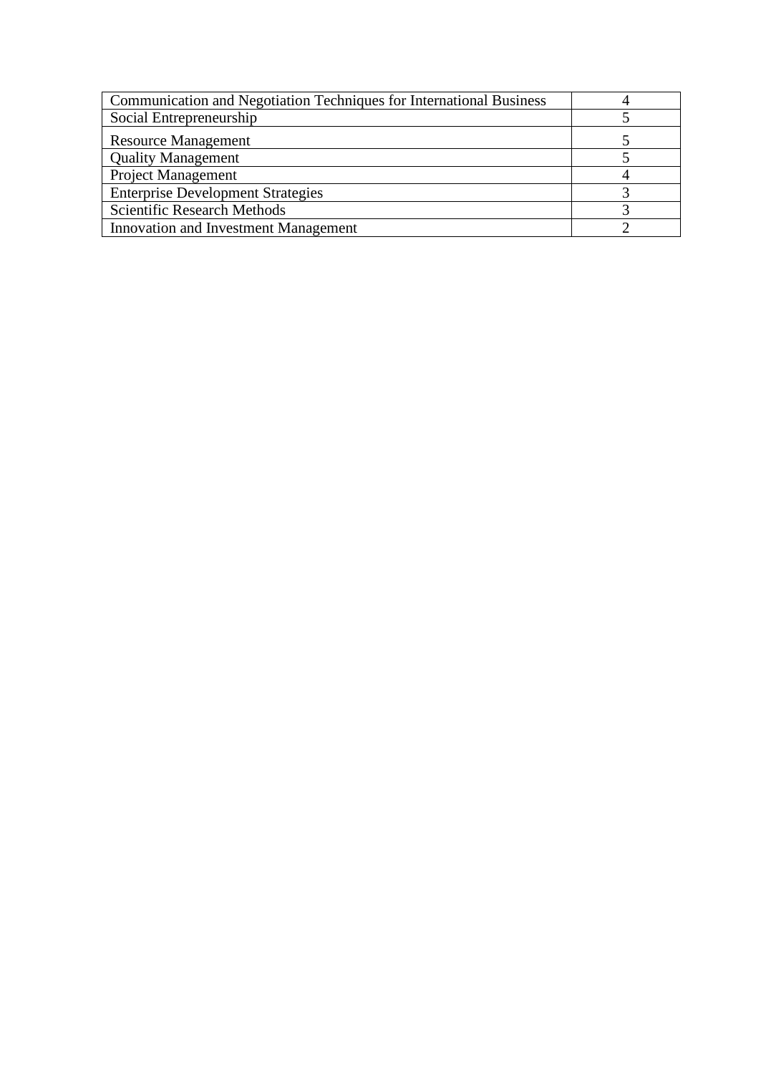| Communication and Negotiation Techniques for International Business |  |
|---------------------------------------------------------------------|--|
| Social Entrepreneurship                                             |  |
| <b>Resource Management</b>                                          |  |
| <b>Quality Management</b>                                           |  |
| <b>Project Management</b>                                           |  |
| <b>Enterprise Development Strategies</b>                            |  |
| <b>Scientific Research Methods</b>                                  |  |
| <b>Innovation and Investment Management</b>                         |  |